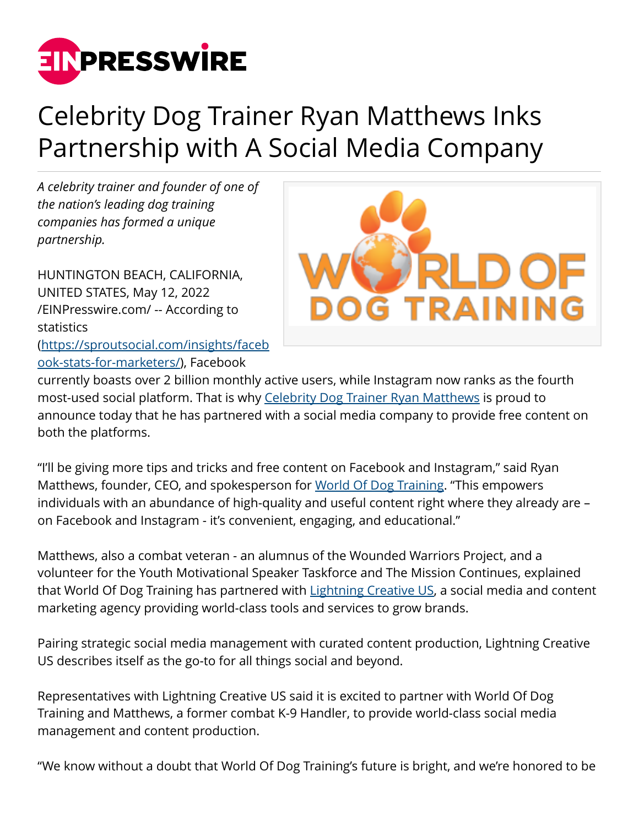

## Celebrity Dog Trainer Ryan Matthews Inks Partnership with A Social Media Company

*A celebrity trainer and founder of one of the nation's leading dog training companies has formed a unique partnership.*

HUNTINGTON BEACH, CALIFORNIA, UNITED STATES, May 12, 2022 [/EINPresswire.com/](http://www.einpresswire.com) -- According to statistics ([https://sproutsocial.com/insights/faceb](https://sproutsocial.com/insights/facebook-stats-for-marketers/) [ook-stats-for-marketers/\)](https://sproutsocial.com/insights/facebook-stats-for-marketers/), Facebook



currently boasts over 2 billion monthly active users, while Instagram now ranks as the fourth most-used social platform. That is why [Celebrity Dog Trainer Ryan Matthews](https://www.worldofdogtraining.com/celebrity-dog-training/) is proud to announce today that he has partnered with a social media company to provide free content on both the platforms.

"I'll be giving more tips and tricks and free content on Facebook and Instagram," said Ryan Matthews, founder, CEO, and spokesperson for [World Of Dog Training](https://www.worldofdogtraining.com/). "This empowers individuals with an abundance of high-quality and useful content right where they already are – on Facebook and Instagram - it's convenient, engaging, and educational."

Matthews, also a combat veteran - an alumnus of the Wounded Warriors Project, and a volunteer for the Youth Motivational Speaker Taskforce and The Mission Continues, explained that World Of Dog Training has partnered with [Lightning Creative US,](https://www.lightningcreative.us/) a social media and content marketing agency providing world-class tools and services to grow brands.

Pairing strategic social media management with curated content production, Lightning Creative US describes itself as the go-to for all things social and beyond.

Representatives with Lightning Creative US said it is excited to partner with World Of Dog Training and Matthews, a former combat K-9 Handler, to provide world-class social media management and content production.

"We know without a doubt that World Of Dog Training's future is bright, and we're honored to be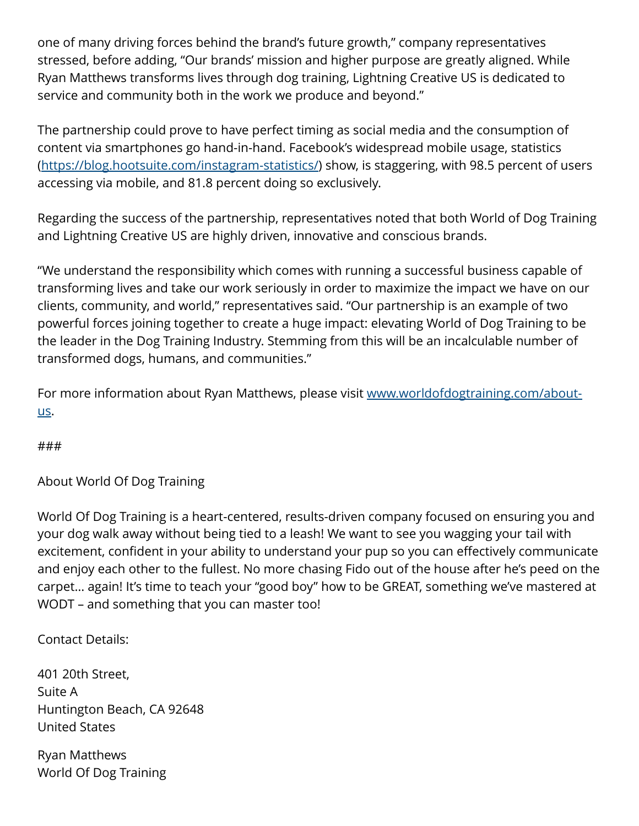one of many driving forces behind the brand's future growth," company representatives stressed, before adding, "Our brands' mission and higher purpose are greatly aligned. While Ryan Matthews transforms lives through dog training, Lightning Creative US is dedicated to service and community both in the work we produce and beyond."

The partnership could prove to have perfect timing as social media and the consumption of content via smartphones go hand-in-hand. Facebook's widespread mobile usage, statistics (<https://blog.hootsuite.com/instagram-statistics/>) show, is staggering, with 98.5 percent of users accessing via mobile, and 81.8 percent doing so exclusively.

Regarding the success of the partnership, representatives noted that both World of Dog Training and Lightning Creative US are highly driven, innovative and conscious brands.

"We understand the responsibility which comes with running a successful business capable of transforming lives and take our work seriously in order to maximize the impact we have on our clients, community, and world," representatives said. "Our partnership is an example of two powerful forces joining together to create a huge impact: elevating World of Dog Training to be the leader in the Dog Training Industry. Stemming from this will be an incalculable number of transformed dogs, humans, and communities."

For more information about Ryan Matthews, please visit [www.worldofdogtraining.com/about](http://www.worldofdogtraining.com/about-us)[us](http://www.worldofdogtraining.com/about-us).

###

About World Of Dog Training

World Of Dog Training is a heart-centered, results-driven company focused on ensuring you and your dog walk away without being tied to a leash! We want to see you wagging your tail with excitement, confident in your ability to understand your pup so you can effectively communicate and enjoy each other to the fullest. No more chasing Fido out of the house after he's peed on the carpet… again! It's time to teach your "good boy" how to be GREAT, something we've mastered at WODT – and something that you can master too!

Contact Details:

401 20th Street, Suite A Huntington Beach, CA 92648 United States

Ryan Matthews World Of Dog Training